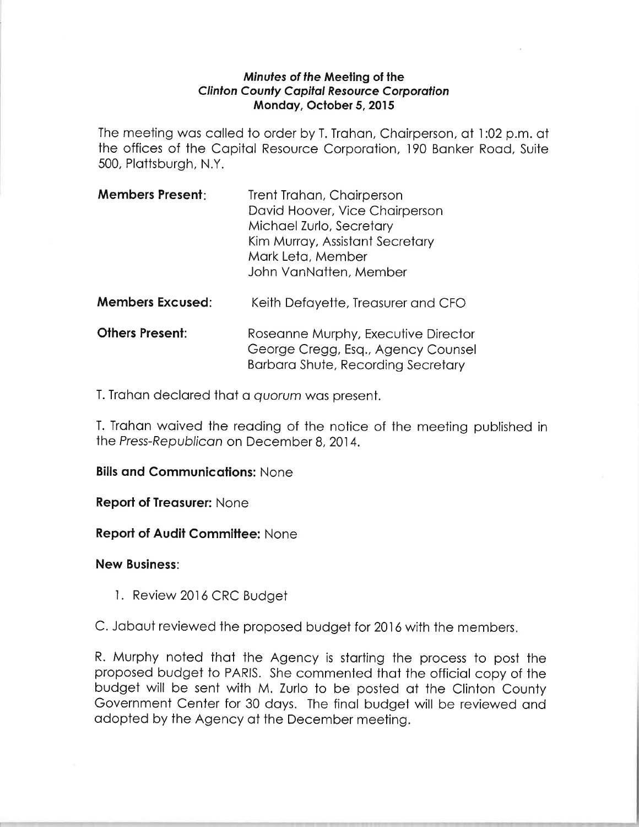## Minufes of the Meeling of the **Clinton County Capital Resource Corporation** Mondoy, October 5,2015

The meeting wos colled to order by T. Trohon, Choirperson, of l:02 p.m. ot the offices of the Capital Resource Corporation, 190 Banker Road, Suite 500, Plottsburgh, N.Y.

| <b>Members Present:</b> | Trent Trahan, Chairperson       |
|-------------------------|---------------------------------|
|                         | David Hoover, Vice Chairperson  |
|                         | Michael Zurlo, Secretary        |
|                         | Kim Murray, Assistant Secretary |
|                         | Mark Leta, Member               |
|                         | John VanNatten, Member          |

- **Members Excused:** Keith Defayette, Treasurer and CFO
- **Others Present:** Roseanne Murphy, Executive Director George Cregg, Esq., Agency Counsel Borboro Shute, Recording Secretory

T. Trohon declored thot o quorum wos present.

T. Trahan waived the reading of the notice of the meeting published in the Press-Republican on December 8, 2014.

## **Bills and Communications: None**

**Report of Treasurer: None** 

**Report of Audit Committee: None** 

New Business:

- <sup>I</sup>. Review 2016 CRC Budget
- C. Jabaut reviewed the proposed budget for 2016 with the members.

R. Murphy noted thot the Agency is storting the process to post the proposed budget to PARIS. She commented thot the officiol copy of the budget will be sent with M. Zurlo to be posted of the Clinton county Government Center for 30 doys. The finol budget will be reviewed ond odopted by the Agency of the December meeting.